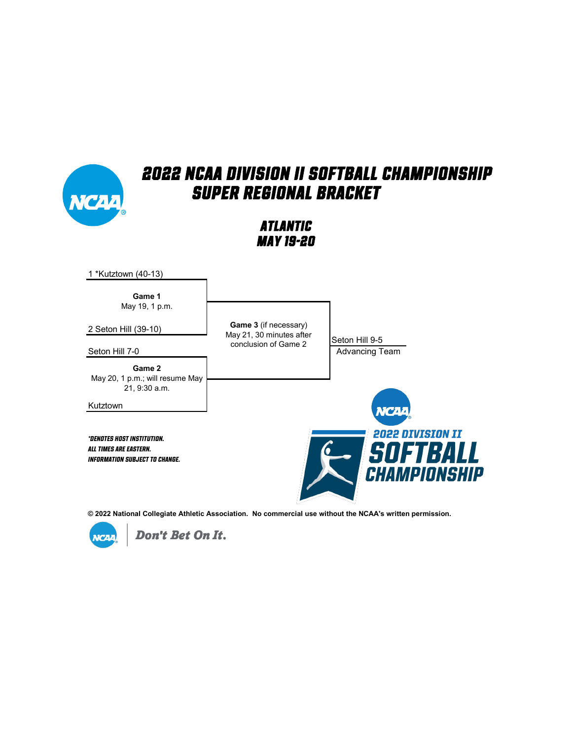

*Atlantic May 19-20*



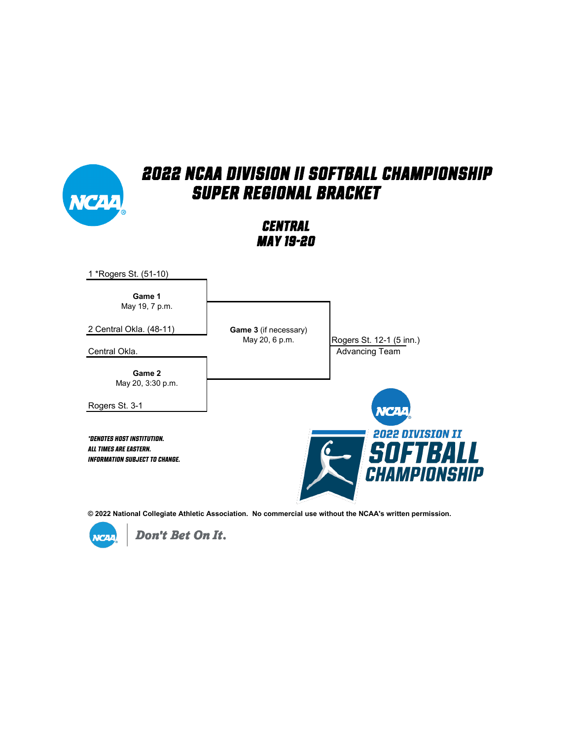

*Central May 19-20*



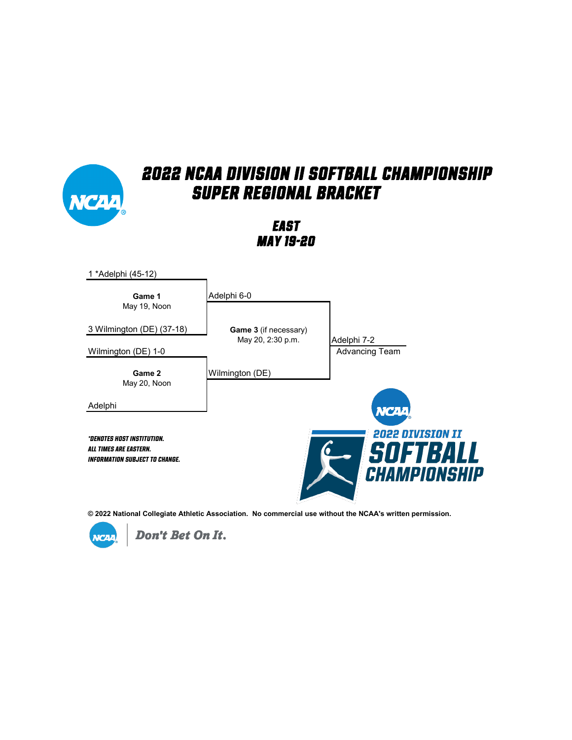#### *2022 NCAA Division II Softball Championship Super Regional Bracket East May 19-20* 1 \*Adelphi (45-12) **Game 1** Adelphi 6-0 May 19, Noon 3 Wilmington (DE) (37-18) **Game 3** (if necessary) May 20, 2:30 p.m. Adelphi 7-2 Wilmington (DE) 1-0 **Advancing Team** Wilmington (DE)**Game 2** May 20, Noon Adelphi **VCAA 2022 DIVISION II** *\*Denotes host institution.* OFTBALL G *All times are Eastern. Information subject to change.* PIONSHIP **CH**

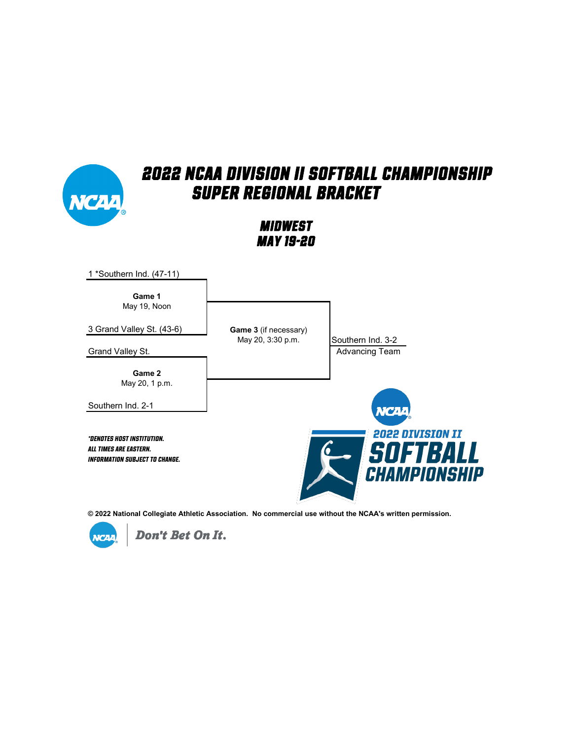

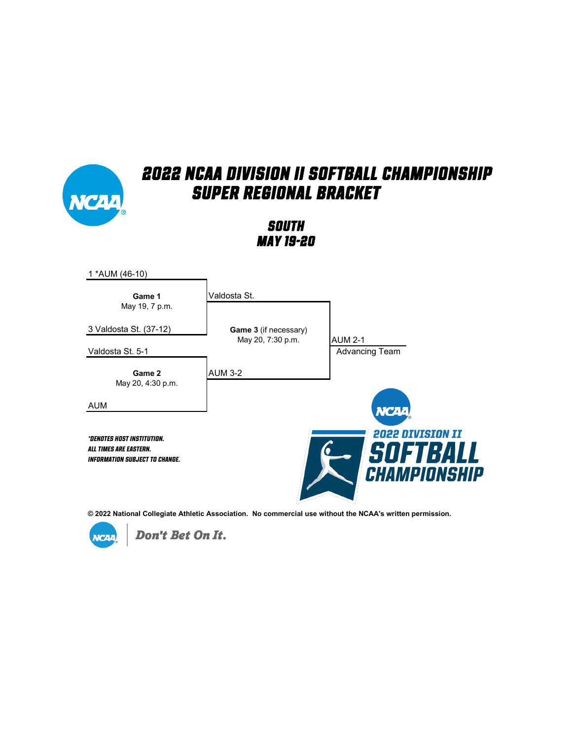

*South May 19-20*



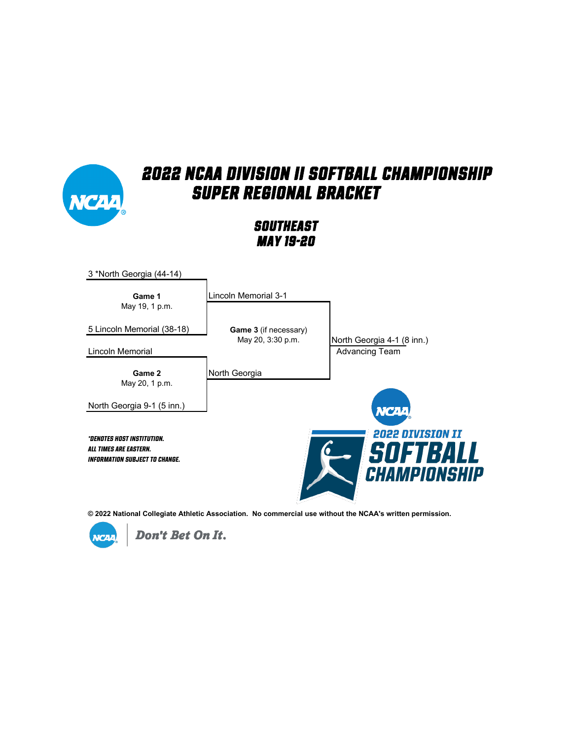

*Southeast May 19-20*



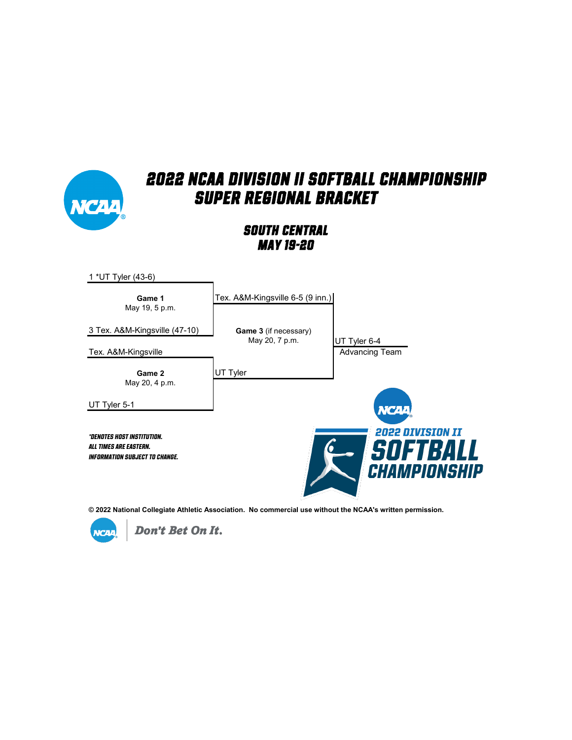

#### *South Central May 19-20*